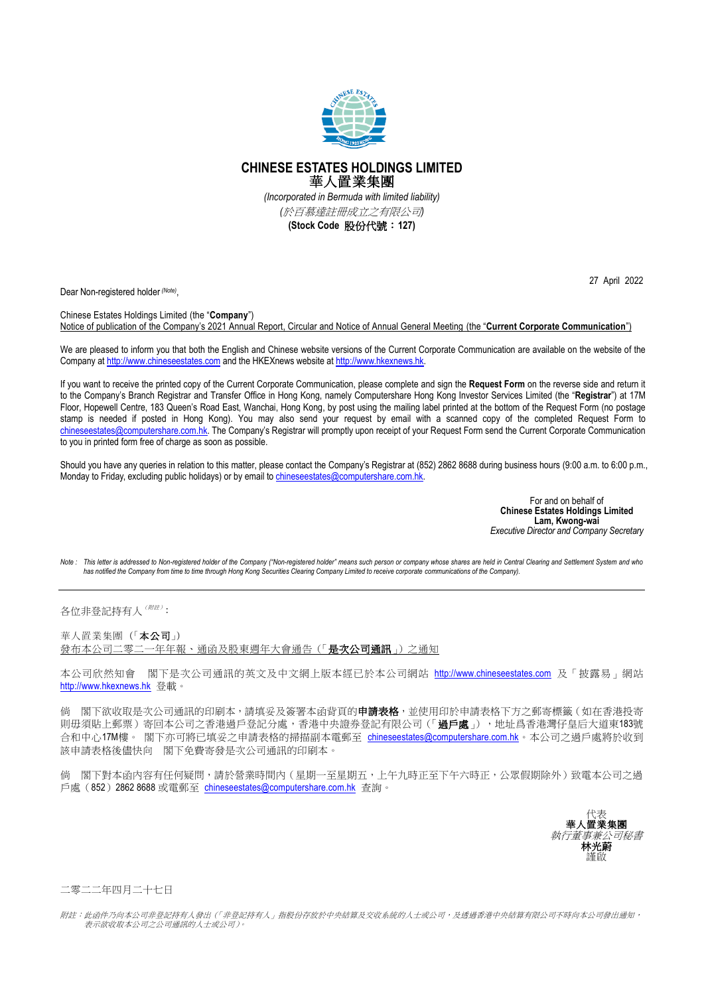

## **CHINESE ESTATES HOLDINGS LIMITED** 華人置業集團 *(Incorporated in Bermuda with limited liability)*

*(*於百慕達註冊成立之有限公司*)*

**(Stock Code** 股份代號:**127)**

Dear Non-registered holder *(Note)* ,

Chinese Estates Holdings Limited (the "**Company**") Notice of publication of the Company's 2021 Annual Report, Circular and Notice of Annual General Meeting (the "**Current Corporate Communication**")

We are pleased to inform you that both the English and Chinese website versions of the Current Corporate Communication are available on the website of the Company at [http://www.chineseestates.com](http://www.chineseestates.com/) and the HKEXnews website a[t http://www.hkexnews.hk.](http://www.hkexnews.hk/)

If you want to receive the printed copy of the Current Corporate Communication, please complete and sign the **Request Form** on the reverse side and return it to the Company's Branch Registrar and Transfer Office in Hong Kong, namely Computershare Hong Kong Investor Services Limited (the "**Registrar**") at 17M Floor, Hopewell Centre, 183 Queen's Road East, Wanchai, Hong Kong, by post using the mailing label printed at the bottom of the Request Form (no postage stamp is needed if posted in Hong Kong). You may also send your request by email with a scanned copy of the completed Request Form to [chineseestates@computershare.com.hk.](mailto:chineseestates@computershare.com.hk) The Company's Registrar will promptly upon receipt of your Request Form send the Current Corporate Communication to you in printed form free of charge as soon as possible.

Should you have any queries in relation to this matter, please contact the Company's Registrar at (852) 2862 8688 during business hours (9:00 a.m. to 6:00 p.m., Monday to Friday, excluding public holidays) or by email t[o chineseestates@computershare.com.hk.](mailto:chineseestates@computershare.com.hk)

> For and on behalf of **Chinese Estates Holdings Limited Lam, Kwong-wai** *Executive Director and Company Secretary*

Note : This letter is addressed to Non-registered holder of the Company ("Non-registered holder" means such person or company whose shares are held in Central Clearing and Settlement System and who<br>has notified the Company

各位非登記持有人 <sup>(附註)</sup>:

華人置業集團(「本公司」) 發布本公司二零二一年年報、通函及股東週年大會通告(「是次公司通訊」)之通知

本公司欣然知會 閣下是次公司通訊的英文及中文網上版本經已於本公司網站 [http://www.chineseestates.com](http://www.chineseestates.com/) 及「披露易」網站 [http://www.hkexnews.hk](http://www.hkexnews.hk/) 登載。

倘 閣下欲收取是次公司通訊的印刷本,請填妥及簽署本函背頁的**申請表格**,並使用印於申請表格下方之郵寄標籤 (如在香港投寄 則毋須貼上郵票)寄回本公司之香港過戶登記分處,香港中央證券登記有限公司(「過戶處」),地址爲香港灣仔皇后大道東183號 合和中心17M樓。 閣下亦可將已填妥之申請表格的掃描副本電郵至 [chineseestates@computershare.com.hk](mailto:chineseestates@computershare.com.hk)。本公司之過戶處將於收到 該申請表格後儘快向 閣下免費寄發是次公司通訊的印刷本。

倘 閣下對本函內容有任何疑問,請於營業時間內(星期一至星期五,上午九時正至下午六時正,公眾假期除外)致電本公司之過 戶處(852) 2862 8688 或電郵至 [chineseestates@computershare.com.hk](mailto:chineseestates@computershare.com.hk) 杳詢。



二零二二年四月二十七日

附註:此函件乃向本公司非登記持有人發出(「非登記持有人」指股份存放於中央結算及交收系統的人士或公司,及透過香港中央結算有限公司不時向本公司發出通知, 表示欲收取本公司之公司通訊的人士或公司)。

27 April 2022